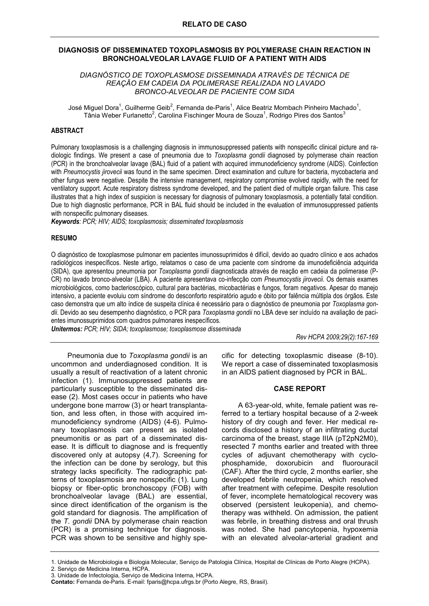#### **DIAGNOSIS OF DISSEMINATED TOXOPLASMOSIS BY POLYMERASE CHAIN REACTION IN BRONCHOALVEOLAR LAVAGE FLUID OF A PATIENT WITH AIDS**

## *DIAGNÓSTICO DE TOXOPLASMOSE DISSEMINADA ATRAVÉS DE TÉCNICA DE REAÇÃO EM CADEIA DA POLIMERASE REALIZADA NO LAVADO BRONCO-ALVEOLAR DE PACIENTE COM SIDA*

José Miguel Dora<sup>1</sup>, Guilherme Geib<sup>2</sup>, Fernanda de-Paris<sup>1</sup>, Alice Beatriz Mombach Pinheiro Machado<sup>1</sup>, Tânia Weber Furlanetto<sup>2</sup>, Carolina Fischinger Moura de Souza<sup>1</sup>, Rodrigo Pires dos Santos<sup>3</sup>

## **ABSTRACT**

Pulmonary toxoplasmosis is a challenging diagnosis in immunosuppressed patients with nonspecific clinical picture and radiologic findings. We present a case of pneumonia due to *Toxoplasma gondii* diagnosed by polymerase chain reaction (PCR) in the bronchoalveolar lavage (BAL) fluid of a patient with acquired immunodeficiency syndrome (AIDS). Coinfection with *Pneumocystis jirovecii* was found in the same specimen. Direct examination and culture for bacteria, mycobacteria and other fungus were negative. Despite the intensive management, respiratory compromise evolved rapidly, with the need for ventilatory support. Acute respiratory distress syndrome developed, and the patient died of multiple organ failure. This case illustrates that a high index of suspicion is necessary for diagnosis of pulmonary toxoplasmosis, a potentially fatal condition. Due to high diagnostic performance, PCR in BAL fluid should be included in the evaluation of immunosuppressed patients with nonspecific pulmonary diseases.

*Keywords: PCR; HIV; AIDS; toxoplasmosis; disseminated toxoplasmosis* 

## **RESUMO**

O diagnóstico de toxoplasmose pulmonar em pacientes imunossuprimidos é difícil, devido ao quadro clínico e aos achados radiológicos inespecíficos. Neste artigo, relatamos o caso de uma paciente com síndrome da imunodeficiência adquirida (SIDA), que apresentou pneumonia por *Toxoplasma gondii* diagnosticada através de reação em cadeia da polimerase (P-CR) no lavado bronco-alveolar (LBA). A paciente apresentava co-infecção com *Pneumocystis jirovecii*. Os demais exames microbiológicos, como bacterioscópico, cultural para bactérias, micobactérias e fungos, foram negativos. Apesar do manejo intensivo, a paciente evoluiu com síndrome do desconforto respiratório agudo e óbito por falência múltipla dos órgãos. Este caso demonstra que um alto índice de suspeita clínica é necessário para o diagnóstico de pneumonia por *Toxoplasma gondii*. Devido ao seu desempenho diagnóstico, o PCR para *Toxoplasma gondii* no LBA deve ser incluído na avaliação de pacientes imunossuprimidos com quadros pulmonares inespecíficos.

*Unitermos: PCR; HIV; SIDA; toxoplasmose; toxoplasmose disseminada* 

*Rev HCPA 2009;29(2):167-169* 

Pneumonia due to *Toxoplasma gondii* is an uncommon and underdiagnosed condition. It is usually a result of reactivation of a latent chronic infection (1). Immunosuppressed patients are particularly susceptible to the disseminated disease (2). Most cases occur in patients who have undergone bone marrow (3) or heart transplantation, and less often, in those with acquired immunodeficiency syndrome (AIDS) (4-6). Pulmonary toxoplasmosis can present as isolated pneumonitis or as part of a disseminated disease. It is difficult to diagnose and is frequently discovered only at autopsy (4,7). Screening for the infection can be done by serology, but this strategy lacks specificity. The radiographic patterns of toxoplasmosis are nonspecific (1). Lung biopsy or fiber-optic bronchoscopy (FOB) with bronchoalveolar lavage (BAL) are essential, since direct identification of the organism is the gold standard for diagnosis. The amplification of the *T. gondii* DNA by polymerase chain reaction (PCR) is a promising technique for diagnosis. PCR was shown to be sensitive and highly specific for detecting toxoplasmic disease (8-10). We report a case of disseminated toxoplasmosis in an AIDS patient diagnosed by PCR in BAL.

## **CASE REPORT**

A 63-year-old, white, female patient was referred to a tertiary hospital because of a 2-week history of dry cough and fever. Her medical records disclosed a history of an infiltrating ductal carcinoma of the breast, stage IIIA (pT2pN2M0), resected 7 months earlier and treated with three cycles of adjuvant chemotherapy with cyclophosphamide, doxorubicin and fluorouracil (CAF). After the third cycle, 2 months earlier, she developed febrile neutropenia, which resolved after treatment with cefepime. Despite resolution of fever, incomplete hematological recovery was observed (persistent leukopenia), and chemotherapy was withheld. On admission, the patient was febrile, in breathing distress and oral thrush was noted. She had pancytopenia, hypoxemia with an elevated alveolar-arterial gradient and

2. Serviço de Medicina Interna, HCPA.

<sup>1.</sup> Unidade de Microbiologia e Biologia Molecular, Serviço de Patologia Clínica, Hospital de Clínicas de Porto Alegre (HCPA).

<sup>3.</sup> Unidade de Infectologia, Serviço de Medicina Interna, HCPA.

**Contato:** Fernanda de-Paris. E-mail: fparis@hcpa.ufrgs.br (Porto Alegre, RS, Brasil).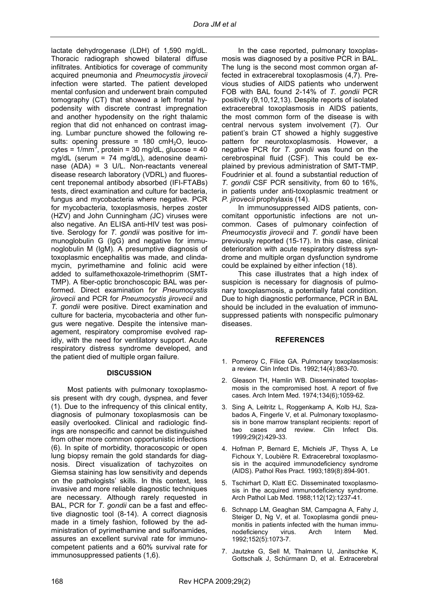lactate dehydrogenase (LDH) of 1,590 mg/dL. Thoracic radiograph showed bilateral diffuse infiltrates. Antibiotics for coverage of community acquired pneumonia and *Pneumocystis jirovecii* infection were started. The patient developed mental confusion and underwent brain computed tomography (CT) that showed a left frontal hypodensity with discrete contrast impregnation and another hypodensity on the right thalamic region that did not enhanced on contrast imaging. Lumbar puncture showed the following results: opening pressure = 180  $cmH<sub>2</sub>O$ , leucocytes =  $1/mm<sup>3</sup>$ , protein = 30 mg/dL, glucose = 40 mg/dL (serum = 74 mg/dL), adenosine deaminase (ADA) = 3 U/L. Non-reactants venereal disease research laboratory (VDRL) and fluorescent treponemal antibody absorbed (IFI-FTABs) tests, direct examination and culture for bacteria, fungus and mycobacteria where negative. PCR for mycobacteria, toxoplasmosis, herpes zoster (HZV) and John Cunningham *(*JC) viruses were also negative. An ELISA anti-HIV test was positive. Serology for *T. gondii* was positive for immunoglobulin G (IgG) and negative for immunoglobulin M (IgM). A presumptive diagnosis of toxoplasmic encephalitis was made, and clindamycin, pyrimethamine and folinic acid were added to sulfamethoxazole-trimethoprim (SMT-TMP). A fiber-optic bronchoscopic BAL was performed. Direct examination for *Pneumocystis jirovecii* and PCR for *Pneumocystis jirovecii* and *T. gondii* were positive. Direct examination and culture for bacteria, mycobacteria and other fungus were negative. Despite the intensive management, respiratory compromise evolved rapidly, with the need for ventilatory support. Acute respiratory distress syndrome developed, and the patient died of multiple organ failure.

# **DISCUSSION**

Most patients with pulmonary toxoplasmosis present with dry cough, dyspnea, and fever (1). Due to the infrequency of this clinical entity, diagnosis of pulmonary toxoplasmosis can be easily overlooked. Clinical and radiologic findings are nonspecific and cannot be distinguished from other more common opportunistic infections (6). In spite of morbidity, thoracoscopic or open lung biopsy remain the gold standards for diagnosis. Direct visualization of tachyzoites on Giemsa staining has low sensitivity and depends on the pathologists' skills. In this context, less invasive and more reliable diagnostic techniques are necessary. Although rarely requested in BAL, PCR for *T. gondii* can be a fast and effective diagnostic tool (8-14). A correct diagnosis made in a timely fashion, followed by the administration of pyrimethamine and sulfonamides, assures an excellent survival rate for immunocompetent patients and a 60% survival rate for immunosuppressed patients (1,6).

In the case reported, pulmonary toxoplasmosis was diagnosed by a positive PCR in BAL. The lung is the second most common organ affected in extracerebral toxoplasmosis (4,7). Previous studies of AIDS patients who underwent FOB with BAL found 2-14% of *T. gondii* PCR positivity (9,10,12,13). Despite reports of isolated extracerebral toxoplasmosis in AIDS patients, the most common form of the disease is with central nervous system involvement (7). Our patient's brain CT showed a highly suggestive pattern for neurotoxoplasmosis. However, a negative PCR for *T. gondii* was found on the cerebrospinal fluid (CSF). This could be explained by previous administration of SMT-TMP. Foudrinier et al. found a substantial reduction of *T. gondii* CSF PCR sensitivity, from 60 to 16%, in patients under anti-toxoplasmic treatment or *P. jirovecii* prophylaxis (14).

In immunosuppressed AIDS patients, concomitant opportunistic infections are not uncommon. Cases of pulmonary coinfection of *Pneumocystis jirovecii* and *T. gondii* have been previously reported (15-17). In this case, clinical deterioration with acute respiratory distress syndrome and multiple organ dysfunction syndrome could be explained by either infection (18).

This case illustrates that a high index of suspicion is necessary for diagnosis of pulmonary toxoplasmosis, a potentially fatal condition. Due to high diagnostic performance, PCR in BAL should be included in the evaluation of immunosuppressed patients with nonspecific pulmonary diseases.

## **REFERENCES**

- 1. Pomeroy C, Filice GA. Pulmonary toxoplasmosis: a review. Clin Infect Dis. 1992;14(4):863-70.
- 2. Gleason TH, Hamlin WB. Disseminated toxoplasmosis in the compromised host. A report of five cases. Arch Intern Med. 1974;134(6);1059-62.
- 3. Sing A, Leitritz L, Roggenkamp A, Kolb HJ, Szabados A, Fingerle V, et al. Pulmonary toxoplasmosis in bone marrow transplant recipients: report of two cases and review. Clin Infect Dis. 1999;29(2):429-33.
- 4. Hofman P, Bernard E, Michiels JF, Thyss A, Le Fichoux Y, Loubière R. Extracerebral toxoplasmosis in the acquired immunodeficiency syndrome (AIDS). Pathol Res Pract. 1993;189(8):894-901.
- 5. Tschirhart D, Klatt EC. Disseminated toxoplasmosis in the acquired immunodeficiency syndrome. Arch Pathol Lab Med. 1988;112(12):1237-41.
- 6. Schnapp LM, Geaghan SM, Campagna A, Fahy J, Steiger D, Ng V, et al. Toxoplasma gondii pneumonitis in patients infected with the human immunodeficiency virus. Arch Intern Med. 1992;152(5):1073-7.
- 7. Jautzke G, Sell M, Thalmann U, Janitschke K, Gottschalk J, Schürmann D, et al. Extracerebral